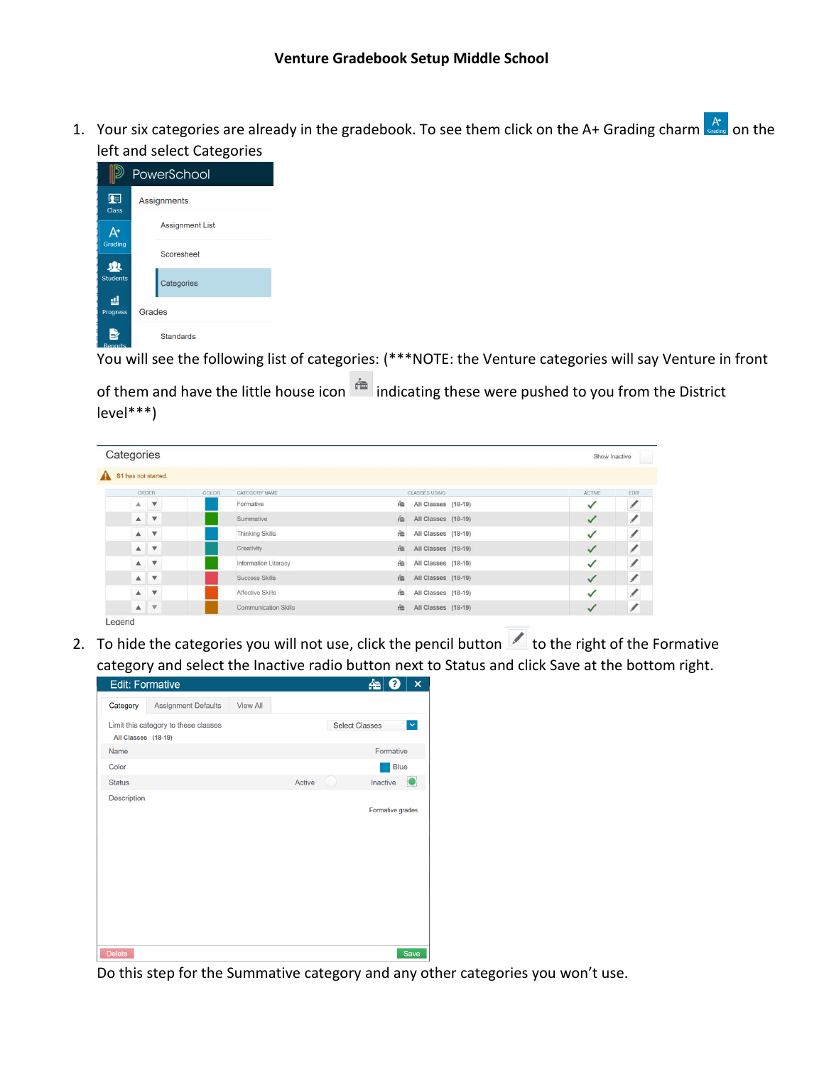1. Your six categories are already in the gradebook. To see them click on the A+ Grading charm  $A^*$  on the left and select Categories



You will see the following list of categories: (\*\*\*NOTE: the Venture categories will say Venture in front

of them and have the little house icon  $\bigoplus$  indicating these were pushed to you from the District level\*\*\*)

| Categories |       |                                                          |       |                                       |   |                     | Show Inactive |             |
|------------|-------|----------------------------------------------------------|-------|---------------------------------------|---|---------------------|---------------|-------------|
|            |       | A S1 has not started.                                    |       |                                       |   |                     |               |             |
|            | ORDER |                                                          | COLOR | CATEGORY NAME<br><b>CLASSES USING</b> |   |                     | <b>ACTIVE</b> | <b>EDIT</b> |
|            |       | $A$ $\Psi$                                               |       | Formative                             | 曲 | All Classes (18-19) |               |             |
|            |       | $\begin{matrix} \mathbb{A} & \mathbb{V} \end{matrix}$    |       | Summative                             | 鱼 | All Classes (18-19) | ✓             | 1           |
|            |       | $A$ $V$                                                  |       | <b>Thinking Skills</b>                | 鱼 | All Classes (18-19) | ✓             | ∕           |
|            |       | $\triangle$ $\forall$                                    |       | Creativity                            | 渔 | All Classes (18-19) | ✓             | 1           |
|            |       | $\begin{matrix} \mathbb{A} & \mathbb{V} \end{matrix}$    |       | Information Literacy                  | 鱼 | All Classes (18-19) | ✓             | 1           |
|            |       | $\begin{array}{c c} \mathbf{A} & \mathbf{W} \end{array}$ |       | Success Skills                        | 鱼 | All Classes (18-19) | ✓             | 1           |
|            |       | $A$ $V$                                                  |       | Affective Skills                      | 渔 | All Classes (18-19) | ✓             |             |
|            |       | $A$ $V$                                                  |       | <b>Communication Skills</b>           | 渔 | All Classes (18-19) | ✓             | ∕           |

2. To hide the categories you will not use, click the pencil button  $\Box$  to the right of the Formative category and select the Inactive radio button next to Status and click Save at the bottom right.



Do this step for the Summative category and any other categories you won't use.